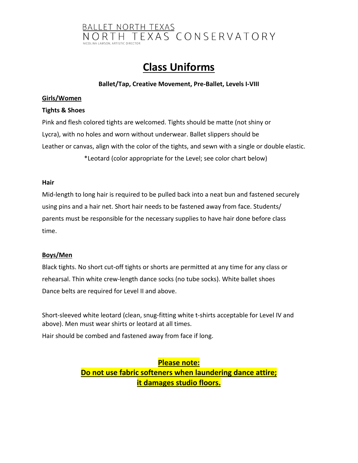

# **Class Uniforms**

## **Ballet/Tap, Creative Movement, Pre-Ballet, Levels I-VIII**

#### **Girls/Women**

## **Tights & Shoes**

Pink and flesh colored tights are welcomed. Tights should be matte (not shiny or Lycra), with no holes and worn without underwear. Ballet slippers should be Leather or canvas, align with the color of the tights, and sewn with a single or double elastic. \*Leotard (color appropriate for the Level; see color chart below)

#### **Hair**

Mid-length to long hair is required to be pulled back into a neat bun and fastened securely using pins and a hair net. Short hair needs to be fastened away from face. Students/ parents must be responsible for the necessary supplies to have hair done before class time.

#### **Boys/Men**

Black tights. No short cut-off tights or shorts are permitted at any time for any class or rehearsal. Thin white crew-length dance socks (no tube socks). White ballet shoes Dance belts are required for Level II and above.

Short-sleeved white leotard (clean, snug-fitting white t-shirts acceptable for Level IV and above). Men must wear shirts or leotard at all times.

Hair should be combed and fastened away from face if long.

**Please note: Do not use fabric softeners when laundering dance attire; it damages studio floors.**